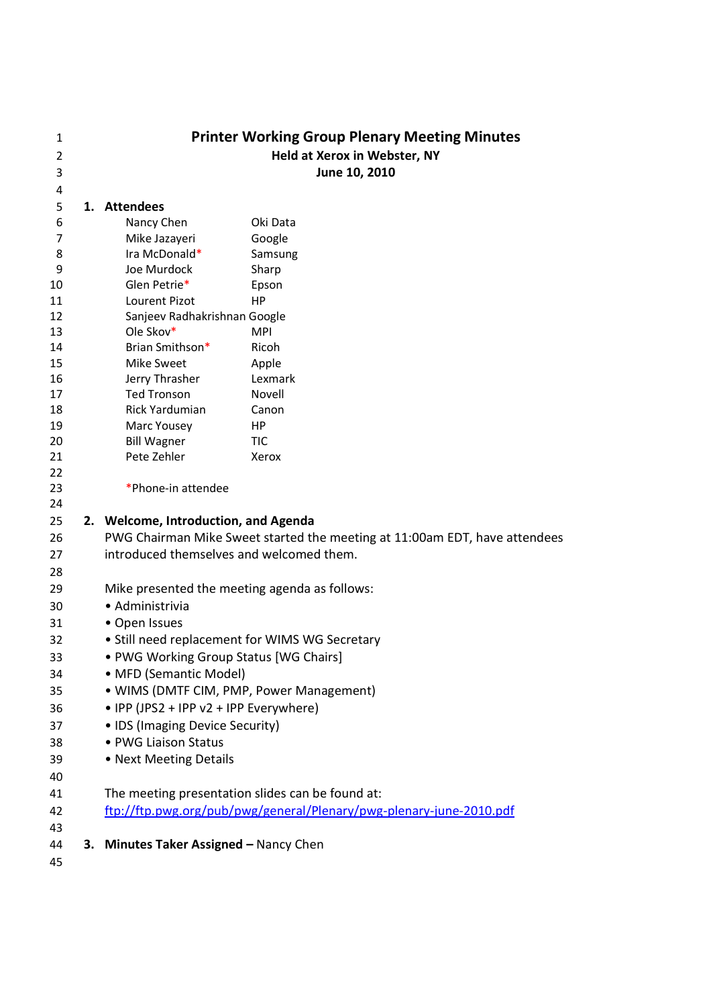| 1<br>2 | <b>Printer Working Group Plenary Meeting Minutes</b><br>Held at Xerox in Webster, NY |                                                                            |  |
|--------|--------------------------------------------------------------------------------------|----------------------------------------------------------------------------|--|
| 3      |                                                                                      | June 10, 2010                                                              |  |
| 4      |                                                                                      |                                                                            |  |
| 5      | 1. Attendees                                                                         |                                                                            |  |
| 6      | Nancy Chen                                                                           | Oki Data                                                                   |  |
| 7      | Mike Jazayeri                                                                        | Google                                                                     |  |
| 8      | Ira McDonald*                                                                        | Samsung                                                                    |  |
| 9      | Joe Murdock                                                                          | Sharp                                                                      |  |
| 10     | Glen Petrie*                                                                         | Epson                                                                      |  |
| 11     | Lourent Pizot                                                                        | HP                                                                         |  |
| 12     | Sanjeev Radhakrishnan Google                                                         |                                                                            |  |
| 13     | Ole Skov*                                                                            | <b>MPI</b>                                                                 |  |
| 14     | Brian Smithson*                                                                      | Ricoh                                                                      |  |
| 15     | <b>Mike Sweet</b>                                                                    | Apple                                                                      |  |
| 16     | Jerry Thrasher                                                                       | Lexmark                                                                    |  |
| 17     | <b>Ted Tronson</b>                                                                   | <b>Novell</b>                                                              |  |
| 18     | Rick Yardumian                                                                       | Canon                                                                      |  |
| 19     | Marc Yousey                                                                          | HР                                                                         |  |
| 20     | <b>Bill Wagner</b>                                                                   | TIC                                                                        |  |
| 21     | Pete Zehler                                                                          | Xerox                                                                      |  |
| 22     |                                                                                      |                                                                            |  |
| 23     | *Phone-in attendee                                                                   |                                                                            |  |
| 24     |                                                                                      |                                                                            |  |
| 25     | 2. Welcome, Introduction, and Agenda                                                 |                                                                            |  |
| 26     |                                                                                      | PWG Chairman Mike Sweet started the meeting at 11:00am EDT, have attendees |  |
| 27     | introduced themselves and welcomed them.                                             |                                                                            |  |
| 28     |                                                                                      |                                                                            |  |
| 29     | Mike presented the meeting agenda as follows:                                        |                                                                            |  |
| 30     | • Administrivia                                                                      |                                                                            |  |
| 31     | • Open Issues                                                                        |                                                                            |  |
| 32     | • Still need replacement for WIMS WG Secretary                                       |                                                                            |  |
| 33     | • PWG Working Group Status [WG Chairs]                                               |                                                                            |  |
| 34     | • MFD (Semantic Model)                                                               |                                                                            |  |
| 35     | • WIMS (DMTF CIM, PMP, Power Management)                                             |                                                                            |  |
|        | • IPP (JPS2 + IPP v2 + IPP Everywhere)                                               |                                                                            |  |
| 36     |                                                                                      |                                                                            |  |
| 37     | • IDS (Imaging Device Security)                                                      |                                                                            |  |
| 38     | • PWG Liaison Status                                                                 |                                                                            |  |
| 39     | • Next Meeting Details                                                               |                                                                            |  |
| 40     |                                                                                      |                                                                            |  |
| 41     | The meeting presentation slides can be found at:                                     |                                                                            |  |
| 42     |                                                                                      | ftp://ftp.pwg.org/pub/pwg/general/Plenary/pwg-plenary-june-2010.pdf        |  |
| 43     |                                                                                      |                                                                            |  |
| 44     | 3. Minutes Taker Assigned - Nancy Chen                                               |                                                                            |  |
| 45     |                                                                                      |                                                                            |  |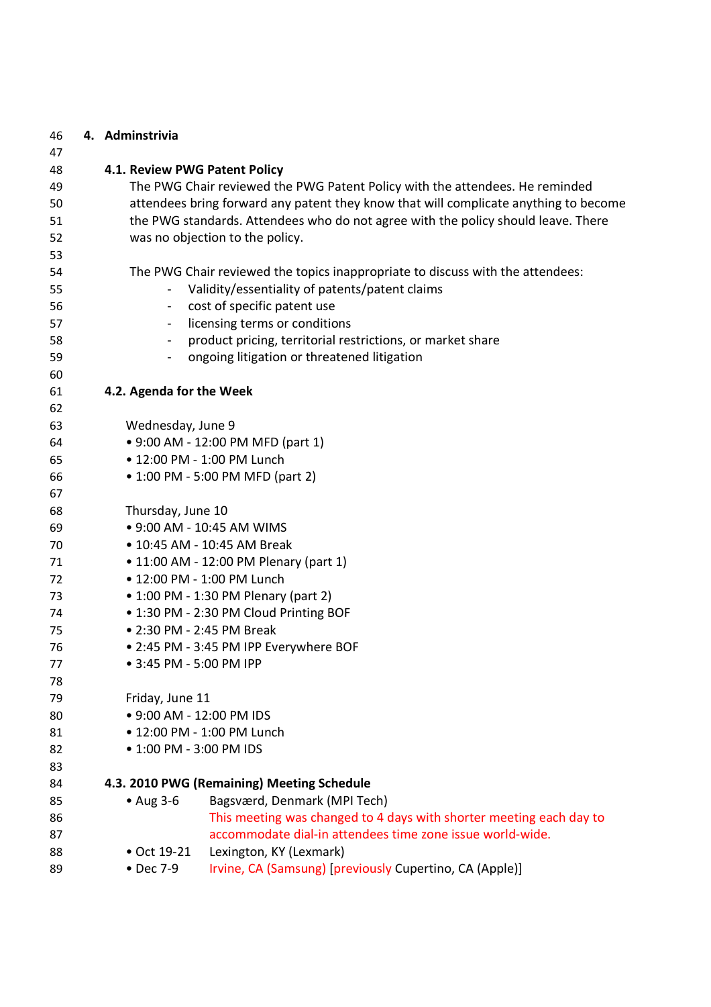| 46<br>47 | 4. Adminstrivia                                                                        |                                                                                   |  |  |
|----------|----------------------------------------------------------------------------------------|-----------------------------------------------------------------------------------|--|--|
| 48       | 4.1. Review PWG Patent Policy                                                          |                                                                                   |  |  |
| 49       | The PWG Chair reviewed the PWG Patent Policy with the attendees. He reminded           |                                                                                   |  |  |
| 50       | attendees bring forward any patent they know that will complicate anything to become   |                                                                                   |  |  |
| 51       |                                                                                        | the PWG standards. Attendees who do not agree with the policy should leave. There |  |  |
| 52       | was no objection to the policy.                                                        |                                                                                   |  |  |
| 53       |                                                                                        |                                                                                   |  |  |
| 54       | The PWG Chair reviewed the topics inappropriate to discuss with the attendees:         |                                                                                   |  |  |
| 55       | Validity/essentiality of patents/patent claims                                         |                                                                                   |  |  |
| 56       | cost of specific patent use<br>$\blacksquare$                                          |                                                                                   |  |  |
| 57       | $-$                                                                                    | licensing terms or conditions                                                     |  |  |
| 58       | product pricing, territorial restrictions, or market share<br>$\overline{\phantom{a}}$ |                                                                                   |  |  |
| 59       |                                                                                        | ongoing litigation or threatened litigation                                       |  |  |
| 60       |                                                                                        |                                                                                   |  |  |
| 61       | 4.2. Agenda for the Week                                                               |                                                                                   |  |  |
| 62       |                                                                                        |                                                                                   |  |  |
| 63       | Wednesday, June 9                                                                      |                                                                                   |  |  |
| 64       |                                                                                        | • 9:00 AM - 12:00 PM MFD (part 1)                                                 |  |  |
| 65       |                                                                                        | • 12:00 PM - 1:00 PM Lunch                                                        |  |  |
| 66       |                                                                                        | • 1:00 PM - 5:00 PM MFD (part 2)                                                  |  |  |
| 67       |                                                                                        |                                                                                   |  |  |
| 68       | Thursday, June 10                                                                      |                                                                                   |  |  |
| 69       | • 9:00 AM - 10:45 AM WIMS                                                              |                                                                                   |  |  |
| 70       | • 10:45 AM - 10:45 AM Break                                                            |                                                                                   |  |  |
| 71       | • 11:00 AM - 12:00 PM Plenary (part 1)                                                 |                                                                                   |  |  |
| 72       | • 12:00 PM - 1:00 PM Lunch                                                             |                                                                                   |  |  |
| 73       | • 1:00 PM - 1:30 PM Plenary (part 2)                                                   |                                                                                   |  |  |
| 74       | • 1:30 PM - 2:30 PM Cloud Printing BOF                                                 |                                                                                   |  |  |
| 75<br>76 | • 2:30 PM - 2:45 PM Break<br>• 2:45 PM - 3:45 PM IPP Everywhere BOF                    |                                                                                   |  |  |
| 77       | $\bullet$ 3:45 PM - 5:00 PM IPP                                                        |                                                                                   |  |  |
| 78       |                                                                                        |                                                                                   |  |  |
| 79       | Friday, June 11                                                                        |                                                                                   |  |  |
| 80       | • 9:00 AM - 12:00 PM IDS                                                               |                                                                                   |  |  |
| 81       | • 12:00 PM - 1:00 PM Lunch                                                             |                                                                                   |  |  |
| 82       | • 1:00 PM - 3:00 PM IDS                                                                |                                                                                   |  |  |
| 83       |                                                                                        |                                                                                   |  |  |
| 84       |                                                                                        | 4.3. 2010 PWG (Remaining) Meeting Schedule                                        |  |  |
| 85       | • Aug 3-6                                                                              | Bagsværd, Denmark (MPI Tech)                                                      |  |  |
| 86       |                                                                                        | This meeting was changed to 4 days with shorter meeting each day to               |  |  |
| 87       |                                                                                        | accommodate dial-in attendees time zone issue world-wide.                         |  |  |
| 88       | • Oct 19-21                                                                            | Lexington, KY (Lexmark)                                                           |  |  |
| 89       | $\bullet$ Dec 7-9                                                                      | Irvine, CA (Samsung) [previously Cupertino, CA (Apple)]                           |  |  |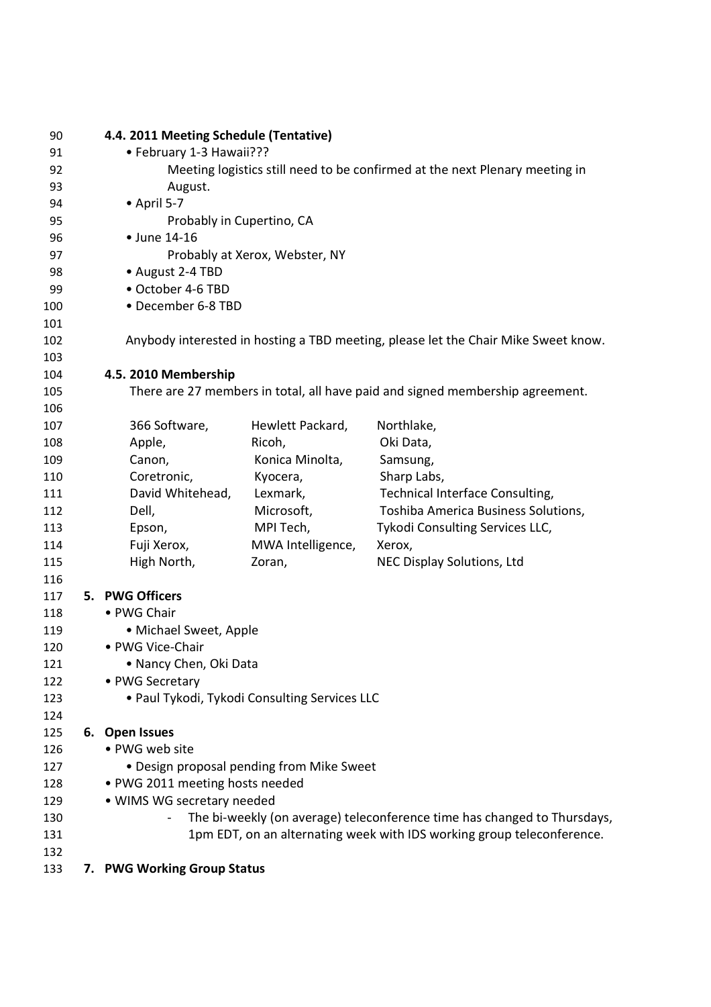| 90  | 4.4. 2011 Meeting Schedule (Tentative)                                      |                                               |                                                                                    |  |  |
|-----|-----------------------------------------------------------------------------|-----------------------------------------------|------------------------------------------------------------------------------------|--|--|
| 91  | • February 1-3 Hawaii???                                                    |                                               |                                                                                    |  |  |
| 92  | Meeting logistics still need to be confirmed at the next Plenary meeting in |                                               |                                                                                    |  |  |
| 93  | August.                                                                     |                                               |                                                                                    |  |  |
| 94  | $\bullet$ April 5-7                                                         |                                               |                                                                                    |  |  |
| 95  | Probably in Cupertino, CA                                                   |                                               |                                                                                    |  |  |
| 96  | • June 14-16                                                                |                                               |                                                                                    |  |  |
| 97  |                                                                             | Probably at Xerox, Webster, NY                |                                                                                    |  |  |
| 98  | • August 2-4 TBD                                                            |                                               |                                                                                    |  |  |
| 99  | • October 4-6 TBD                                                           |                                               |                                                                                    |  |  |
| 100 | • December 6-8 TBD                                                          |                                               |                                                                                    |  |  |
| 101 |                                                                             |                                               |                                                                                    |  |  |
| 102 |                                                                             |                                               | Anybody interested in hosting a TBD meeting, please let the Chair Mike Sweet know. |  |  |
| 103 |                                                                             |                                               |                                                                                    |  |  |
| 104 | 4.5. 2010 Membership                                                        |                                               |                                                                                    |  |  |
| 105 |                                                                             |                                               | There are 27 members in total, all have paid and signed membership agreement.      |  |  |
| 106 |                                                                             |                                               |                                                                                    |  |  |
| 107 | 366 Software,                                                               | Hewlett Packard,                              | Northlake,                                                                         |  |  |
| 108 | Apple,                                                                      | Ricoh,                                        | Oki Data,                                                                          |  |  |
| 109 | Canon,                                                                      | Konica Minolta,                               | Samsung,                                                                           |  |  |
| 110 | Coretronic,                                                                 | Kyocera,                                      | Sharp Labs,                                                                        |  |  |
| 111 | David Whitehead,                                                            | Lexmark,                                      | Technical Interface Consulting,                                                    |  |  |
| 112 | Dell,                                                                       | Microsoft,                                    | Toshiba America Business Solutions,                                                |  |  |
| 113 | Epson,                                                                      | MPI Tech,                                     | Tykodi Consulting Services LLC,                                                    |  |  |
| 114 | Fuji Xerox,                                                                 | MWA Intelligence,                             | Xerox,                                                                             |  |  |
| 115 | High North,                                                                 | Zoran,                                        | NEC Display Solutions, Ltd                                                         |  |  |
| 116 |                                                                             |                                               |                                                                                    |  |  |
| 117 | 5. PWG Officers                                                             |                                               |                                                                                    |  |  |
| 118 | • PWG Chair                                                                 |                                               |                                                                                    |  |  |
| 119 | • Michael Sweet, Apple                                                      |                                               |                                                                                    |  |  |
| 120 | • PWG Vice-Chair                                                            |                                               |                                                                                    |  |  |
| 121 | • Nancy Chen, Oki Data                                                      |                                               |                                                                                    |  |  |
| 122 | • PWG Secretary                                                             |                                               |                                                                                    |  |  |
| 123 |                                                                             | . Paul Tykodi, Tykodi Consulting Services LLC |                                                                                    |  |  |
| 124 |                                                                             |                                               |                                                                                    |  |  |
| 125 | 6. Open Issues                                                              |                                               |                                                                                    |  |  |
| 126 | • PWG web site                                                              |                                               |                                                                                    |  |  |
| 127 |                                                                             | • Design proposal pending from Mike Sweet     |                                                                                    |  |  |
| 128 | • PWG 2011 meeting hosts needed                                             |                                               |                                                                                    |  |  |
| 129 | • WIMS WG secretary needed                                                  |                                               |                                                                                    |  |  |
| 130 |                                                                             |                                               | The bi-weekly (on average) teleconference time has changed to Thursdays,           |  |  |
| 131 |                                                                             |                                               | 1pm EDT, on an alternating week with IDS working group teleconference.             |  |  |
| 132 |                                                                             |                                               |                                                                                    |  |  |
| 133 | 7. PWG Working Group Status                                                 |                                               |                                                                                    |  |  |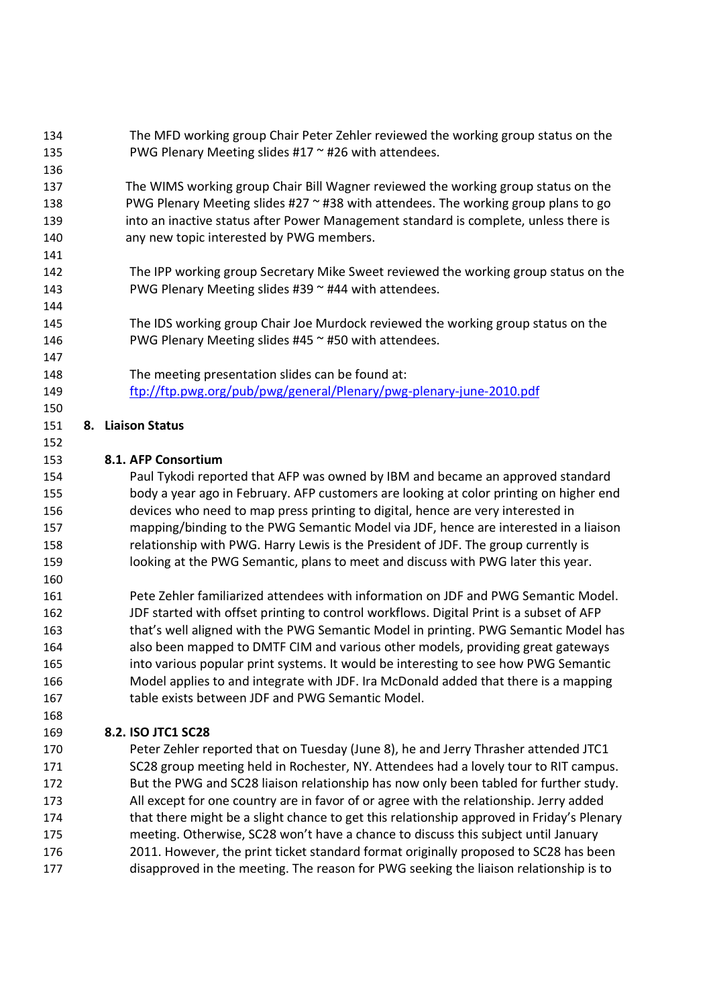- The MFD working group Chair Peter Zehler reviewed the working group status on the PWG Plenary Meeting slides #17 ~ #26 with attendees.
- 

- The WIMS working group Chair Bill Wagner reviewed the working group status on the PWG Plenary Meeting slides #27 ~ #38 with attendees. The working group plans to go into an inactive status after Power Management standard is complete, unless there is any new topic interested by PWG members.
- The IPP working group Secretary Mike Sweet reviewed the working group status on the PWG Plenary Meeting slides #39 ~ #44 with attendees.
- The IDS working group Chair Joe Murdock reviewed the working group status on the PWG Plenary Meeting slides #45 ~ #50 with attendees.
- The meeting presentation slides can be found at: ftp://ftp.pwg.org/pub/pwg/general/Plenary/pwg-plenary-june-2010.pdf

## **8. Liaison Status**

## **8.1. AFP Consortium**

Paul Tykodi reported that AFP was owned by IBM and became an approved standard body a year ago in February. AFP customers are looking at color printing on higher end devices who need to map press printing to digital, hence are very interested in mapping/binding to the PWG Semantic Model via JDF, hence are interested in a liaison relationship with PWG. Harry Lewis is the President of JDF. The group currently is looking at the PWG Semantic, plans to meet and discuss with PWG later this year.

Pete Zehler familiarized attendees with information on JDF and PWG Semantic Model. JDF started with offset printing to control workflows. Digital Print is a subset of AFP 163 that's well aligned with the PWG Semantic Model in printing. PWG Semantic Model has also been mapped to DMTF CIM and various other models, providing great gateways into various popular print systems. It would be interesting to see how PWG Semantic Model applies to and integrate with JDF. Ira McDonald added that there is a mapping table exists between JDF and PWG Semantic Model.

## **8.2. ISO JTC1 SC28**

Peter Zehler reported that on Tuesday (June 8), he and Jerry Thrasher attended JTC1 SC28 group meeting held in Rochester, NY. Attendees had a lovely tour to RIT campus. But the PWG and SC28 liaison relationship has now only been tabled for further study. All except for one country are in favor of or agree with the relationship. Jerry added 174 that there might be a slight chance to get this relationship approved in Friday's Plenary meeting. Otherwise, SC28 won't have a chance to discuss this subject until January 2011. However, the print ticket standard format originally proposed to SC28 has been disapproved in the meeting. The reason for PWG seeking the liaison relationship is to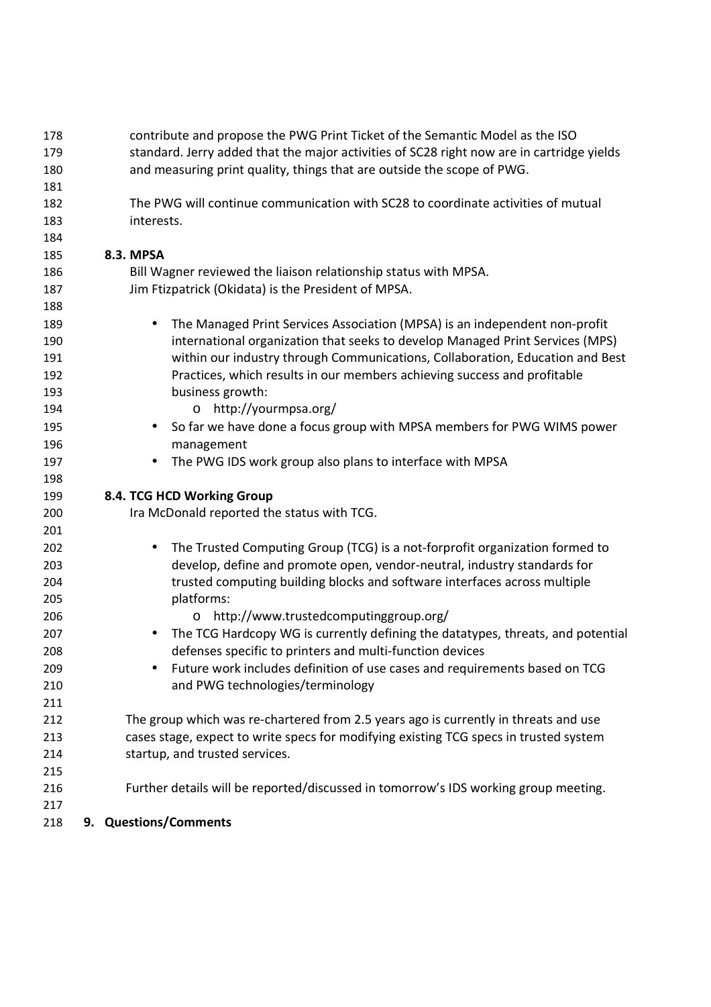| 178 | contribute and propose the PWG Print Ticket of the Semantic Model as the ISO              |
|-----|-------------------------------------------------------------------------------------------|
| 179 | standard. Jerry added that the major activities of SC28 right now are in cartridge yields |
| 180 | and measuring print quality, things that are outside the scope of PWG.                    |
| 181 |                                                                                           |
| 182 | The PWG will continue communication with SC28 to coordinate activities of mutual          |
| 183 | interests.                                                                                |
| 184 |                                                                                           |
| 185 | <b>8.3. MPSA</b>                                                                          |
| 186 | Bill Wagner reviewed the liaison relationship status with MPSA.                           |
| 187 | Jim Ftizpatrick (Okidata) is the President of MPSA.                                       |
| 188 |                                                                                           |
| 189 | The Managed Print Services Association (MPSA) is an independent non-profit<br>$\bullet$   |
| 190 | international organization that seeks to develop Managed Print Services (MPS)             |
| 191 | within our industry through Communications, Collaboration, Education and Best             |
| 192 | Practices, which results in our members achieving success and profitable                  |
| 193 | business growth:                                                                          |
| 194 | http://yourmpsa.org/<br>$\circ$                                                           |
| 195 | So far we have done a focus group with MPSA members for PWG WIMS power                    |
| 196 | management                                                                                |
| 197 | The PWG IDS work group also plans to interface with MPSA<br>$\bullet$                     |
| 198 |                                                                                           |
| 199 | 8.4. TCG HCD Working Group                                                                |
| 200 | Ira McDonald reported the status with TCG.                                                |
| 201 |                                                                                           |
| 202 | The Trusted Computing Group (TCG) is a not-forprofit organization formed to<br>$\bullet$  |
| 203 | develop, define and promote open, vendor-neutral, industry standards for                  |
| 204 | trusted computing building blocks and software interfaces across multiple                 |
| 205 | platforms:                                                                                |
| 206 | http://www.trustedcomputinggroup.org/<br>$\circ$                                          |
| 207 | The TCG Hardcopy WG is currently defining the datatypes, threats, and potential           |
| 208 | defenses specific to printers and multi-function devices                                  |
| 209 | Future work includes definition of use cases and requirements based on TCG                |
| 210 | and PWG technologies/terminology                                                          |
| 211 |                                                                                           |
| 212 | The group which was re-chartered from 2.5 years ago is currently in threats and use       |
| 213 | cases stage, expect to write specs for modifying existing TCG specs in trusted system     |
| 214 | startup, and trusted services.                                                            |
| 215 |                                                                                           |
| 216 | Further details will be reported/discussed in tomorrow's IDS working group meeting.       |
| 217 |                                                                                           |
| 218 | 9. Questions/Comments                                                                     |